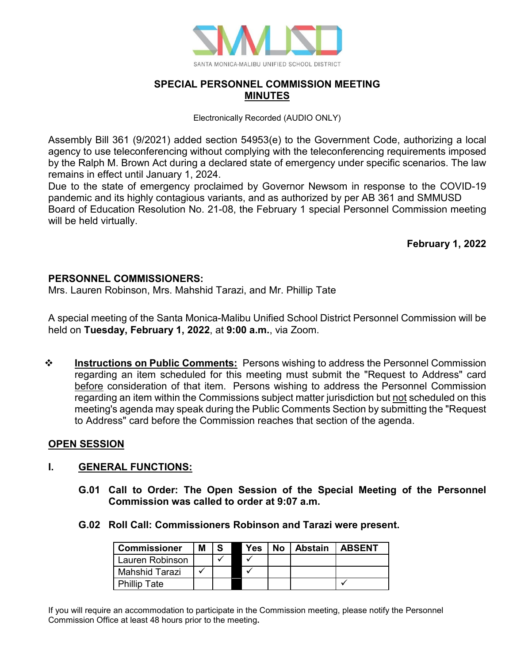

# **SPECIAL PERSONNEL COMMISSION MEETING MINUTES**

Electronically Recorded (AUDIO ONLY)

Assembly Bill 361 (9/2021) added section 54953(e) to the Government Code, authorizing a local agency to use teleconferencing without complying with the teleconferencing requirements imposed by the Ralph M. Brown Act during a declared state of emergency under specific scenarios. The law remains in effect until January 1, 2024.

Due to the state of emergency proclaimed by Governor Newsom in response to the COVID-19 pandemic and its highly contagious variants, and as authorized by per AB 361 and SMMUSD Board of Education Resolution No. 21-08, the February 1 special Personnel Commission meeting will be held virtually.

**February 1, 2022**

# **PERSONNEL COMMISSIONERS:**

Mrs. Lauren Robinson, Mrs. Mahshid Tarazi, and Mr. Phillip Tate

A special meeting of the Santa Monica-Malibu Unified School District Personnel Commission will be held on **Tuesday, February 1, 2022**, at **9:00 a.m.**, via Zoom.

**<sup>\*</sup>** Instructions on Public Comments: Persons wishing to address the Personnel Commission regarding an item scheduled for this meeting must submit the "Request to Address" card before consideration of that item. Persons wishing to address the Personnel Commission regarding an item within the Commissions subject matter jurisdiction but not scheduled on this meeting's agenda may speak during the Public Comments Section by submitting the "Request to Address" card before the Commission reaches that section of the agenda.

# **OPEN SESSION**

# **I. GENERAL FUNCTIONS:**

- **G.01 Call to Order: The Open Session of the Special Meeting of the Personnel Commission was called to order at 9:07 a.m.**
- **G.02 Roll Call: Commissioners Robinson and Tarazi were present.**

| <b>Commissioner</b> | Μ |  | Yes | <b>No</b> | Abstain | <b>LABSENT</b> |
|---------------------|---|--|-----|-----------|---------|----------------|
| Lauren Robinson     |   |  |     |           |         |                |
| Mahshid Tarazi      |   |  |     |           |         |                |
| <b>Phillip Tate</b> |   |  |     |           |         |                |

If you will require an accommodation to participate in the Commission meeting, please notify the Personnel Commission Office at least 48 hours prior to the meeting**.**